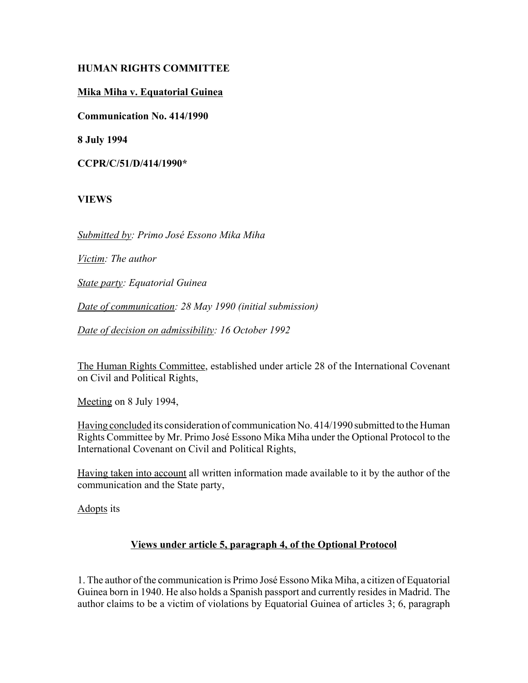## **HUMAN RIGHTS COMMITTEE**

### **Mika Miha v. Equatorial Guinea**

**Communication No. 414/1990**

**8 July 1994**

**CCPR/C/51/D/414/1990\***

### **VIEWS**

*Submitted by: Primo JosÈ Essono Mika Miha*

*Victim: The author*

*State party: Equatorial Guinea*

*Date of communication: 28 May 1990 (initial submission)*

*Date of decision on admissibility: 16 October 1992*

The Human Rights Committee, established under article 28 of the International Covenant on Civil and Political Rights,

Meeting on 8 July 1994,

Having concluded its consideration of communication No. 414/1990 submitted to the Human Rights Committee by Mr. Primo JosÈ Essono Mika Miha under the Optional Protocol to the International Covenant on Civil and Political Rights,

Having taken into account all written information made available to it by the author of the communication and the State party,

Adopts its

#### **Views under article 5, paragraph 4, of the Optional Protocol**

1. The author of the communication is Primo JosÈ Essono Mika Miha, a citizen of Equatorial Guinea born in 1940. He also holds a Spanish passport and currently resides in Madrid. The author claims to be a victim of violations by Equatorial Guinea of articles 3; 6, paragraph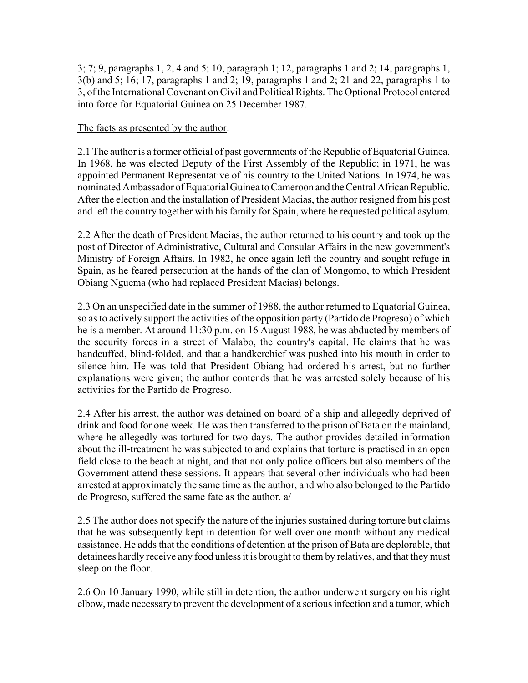3; 7; 9, paragraphs 1, 2, 4 and 5; 10, paragraph 1; 12, paragraphs 1 and 2; 14, paragraphs 1, 3(b) and 5; 16; 17, paragraphs 1 and 2; 19, paragraphs 1 and 2; 21 and 22, paragraphs 1 to 3, of the International Covenant on Civil and Political Rights. The Optional Protocol entered into force for Equatorial Guinea on 25 December 1987.

### The facts as presented by the author:

2.1 The author is a former official of past governments of the Republic of Equatorial Guinea. In 1968, he was elected Deputy of the First Assembly of the Republic; in 1971, he was appointed Permanent Representative of his country to the United Nations. In 1974, he was nominated Ambassador of Equatorial Guinea to Cameroon and the Central African Republic. After the election and the installation of President Macias, the author resigned from his post and left the country together with his family for Spain, where he requested political asylum.

2.2 After the death of President Macias, the author returned to his country and took up the post of Director of Administrative, Cultural and Consular Affairs in the new government's Ministry of Foreign Affairs. In 1982, he once again left the country and sought refuge in Spain, as he feared persecution at the hands of the clan of Mongomo, to which President Obiang Nguema (who had replaced President Macias) belongs.

2.3 On an unspecified date in the summer of 1988, the author returned to Equatorial Guinea, so as to actively support the activities of the opposition party (Partido de Progreso) of which he is a member. At around 11:30 p.m. on 16 August 1988, he was abducted by members of the security forces in a street of Malabo, the country's capital. He claims that he was handcuffed, blind-folded, and that a handkerchief was pushed into his mouth in order to silence him. He was told that President Obiang had ordered his arrest, but no further explanations were given; the author contends that he was arrested solely because of his activities for the Partido de Progreso.

2.4 After his arrest, the author was detained on board of a ship and allegedly deprived of drink and food for one week. He was then transferred to the prison of Bata on the mainland, where he allegedly was tortured for two days. The author provides detailed information about the ill-treatment he was subjected to and explains that torture is practised in an open field close to the beach at night, and that not only police officers but also members of the Government attend these sessions. It appears that several other individuals who had been arrested at approximately the same time as the author, and who also belonged to the Partido de Progreso, suffered the same fate as the author. a/

2.5 The author does not specify the nature of the injuries sustained during torture but claims that he was subsequently kept in detention for well over one month without any medical assistance. He adds that the conditions of detention at the prison of Bata are deplorable, that detainees hardly receive any food unless it is brought to them by relatives, and that they must sleep on the floor.

2.6 On 10 January 1990, while still in detention, the author underwent surgery on his right elbow, made necessary to prevent the development of a serious infection and a tumor, which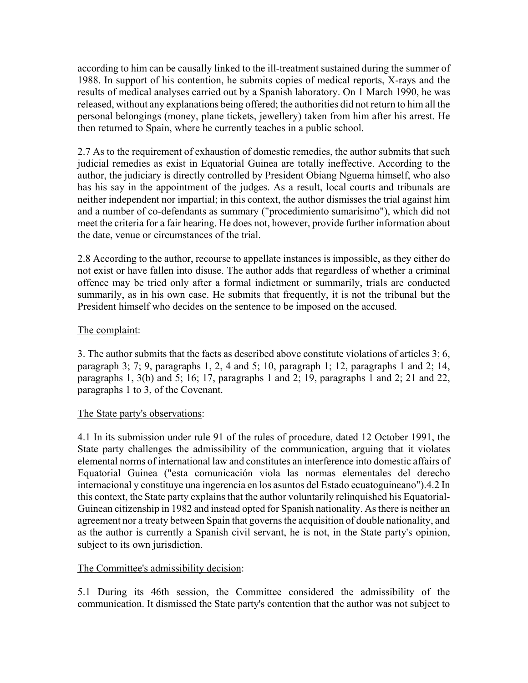according to him can be causally linked to the ill-treatment sustained during the summer of 1988. In support of his contention, he submits copies of medical reports, X-rays and the results of medical analyses carried out by a Spanish laboratory. On 1 March 1990, he was released, without any explanations being offered; the authorities did not return to him all the personal belongings (money, plane tickets, jewellery) taken from him after his arrest. He then returned to Spain, where he currently teaches in a public school.

2.7 As to the requirement of exhaustion of domestic remedies, the author submits that such judicial remedies as exist in Equatorial Guinea are totally ineffective. According to the author, the judiciary is directly controlled by President Obiang Nguema himself, who also has his say in the appointment of the judges. As a result, local courts and tribunals are neither independent nor impartial; in this context, the author dismisses the trial against him and a number of co-defendants as summary ("procedimiento sumarísimo"), which did not meet the criteria for a fair hearing. He does not, however, provide further information about the date, venue or circumstances of the trial.

2.8 According to the author, recourse to appellate instances is impossible, as they either do not exist or have fallen into disuse. The author adds that regardless of whether a criminal offence may be tried only after a formal indictment or summarily, trials are conducted summarily, as in his own case. He submits that frequently, it is not the tribunal but the President himself who decides on the sentence to be imposed on the accused.

# The complaint:

3. The author submits that the facts as described above constitute violations of articles 3; 6, paragraph 3; 7; 9, paragraphs 1, 2, 4 and 5; 10, paragraph 1; 12, paragraphs 1 and 2; 14, paragraphs 1, 3(b) and 5; 16; 17, paragraphs 1 and 2; 19, paragraphs 1 and 2; 21 and 22, paragraphs 1 to 3, of the Covenant.

## The State party's observations:

4.1 In its submission under rule 91 of the rules of procedure, dated 12 October 1991, the State party challenges the admissibility of the communication, arguing that it violates elemental norms of international law and constitutes an interference into domestic affairs of Equatorial Guinea ("esta comunicación viola las normas elementales del derecho internacional y constituye una ingerencia en los asuntos del Estado ecuatoguineano").4.2 In this context, the State party explains that the author voluntarily relinquished his Equatorial-Guinean citizenship in 1982 and instead opted for Spanish nationality. As there is neither an agreement nor a treaty between Spain that governs the acquisition of double nationality, and as the author is currently a Spanish civil servant, he is not, in the State party's opinion, subject to its own jurisdiction.

## The Committee's admissibility decision:

5.1 During its 46th session, the Committee considered the admissibility of the communication. It dismissed the State party's contention that the author was not subject to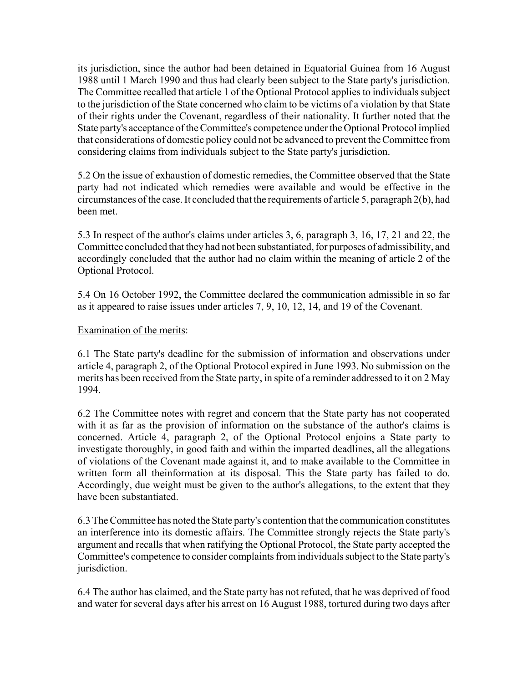its jurisdiction, since the author had been detained in Equatorial Guinea from 16 August 1988 until 1 March 1990 and thus had clearly been subject to the State party's jurisdiction. The Committee recalled that article 1 of the Optional Protocol applies to individuals subject to the jurisdiction of the State concerned who claim to be victims of a violation by that State of their rights under the Covenant, regardless of their nationality. It further noted that the State party's acceptance of the Committee's competence under the Optional Protocol implied that considerations of domestic policy could not be advanced to prevent the Committee from considering claims from individuals subject to the State party's jurisdiction.

5.2 On the issue of exhaustion of domestic remedies, the Committee observed that the State party had not indicated which remedies were available and would be effective in the circumstances of the case. It concluded that the requirements of article 5, paragraph 2(b), had been met.

5.3 In respect of the author's claims under articles 3, 6, paragraph 3, 16, 17, 21 and 22, the Committee concluded that they had not been substantiated, for purposes of admissibility, and accordingly concluded that the author had no claim within the meaning of article 2 of the Optional Protocol.

5.4 On 16 October 1992, the Committee declared the communication admissible in so far as it appeared to raise issues under articles 7, 9, 10, 12, 14, and 19 of the Covenant.

### Examination of the merits:

6.1 The State party's deadline for the submission of information and observations under article 4, paragraph 2, of the Optional Protocol expired in June 1993. No submission on the merits has been received from the State party, in spite of a reminder addressed to it on 2 May 1994.

6.2 The Committee notes with regret and concern that the State party has not cooperated with it as far as the provision of information on the substance of the author's claims is concerned. Article 4, paragraph 2, of the Optional Protocol enjoins a State party to investigate thoroughly, in good faith and within the imparted deadlines, all the allegations of violations of the Covenant made against it, and to make available to the Committee in written form all theinformation at its disposal. This the State party has failed to do. Accordingly, due weight must be given to the author's allegations, to the extent that they have been substantiated.

6.3 The Committee has noted the State party's contention that the communication constitutes an interference into its domestic affairs. The Committee strongly rejects the State party's argument and recalls that when ratifying the Optional Protocol, the State party accepted the Committee's competence to consider complaints from individuals subject to the State party's jurisdiction.

6.4 The author has claimed, and the State party has not refuted, that he was deprived of food and water for several days after his arrest on 16 August 1988, tortured during two days after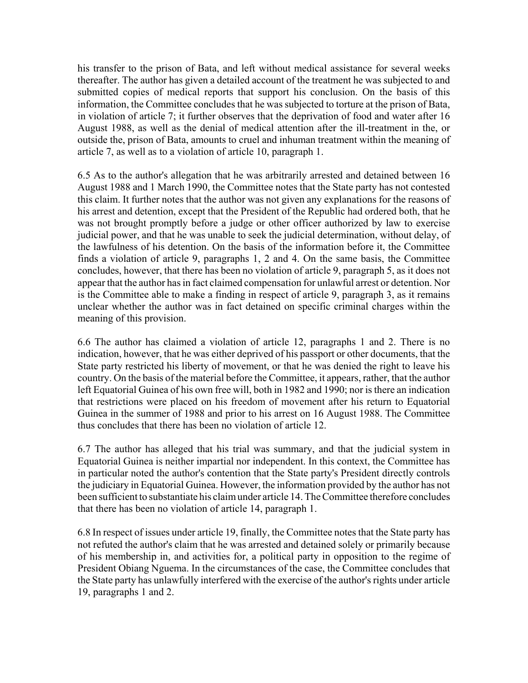his transfer to the prison of Bata, and left without medical assistance for several weeks thereafter. The author has given a detailed account of the treatment he was subjected to and submitted copies of medical reports that support his conclusion. On the basis of this information, the Committee concludes that he was subjected to torture at the prison of Bata, in violation of article 7; it further observes that the deprivation of food and water after 16 August 1988, as well as the denial of medical attention after the ill-treatment in the, or outside the, prison of Bata, amounts to cruel and inhuman treatment within the meaning of article 7, as well as to a violation of article 10, paragraph 1.

6.5 As to the author's allegation that he was arbitrarily arrested and detained between 16 August 1988 and 1 March 1990, the Committee notes that the State party has not contested this claim. It further notes that the author was not given any explanations for the reasons of his arrest and detention, except that the President of the Republic had ordered both, that he was not brought promptly before a judge or other officer authorized by law to exercise judicial power, and that he was unable to seek the judicial determination, without delay, of the lawfulness of his detention. On the basis of the information before it, the Committee finds a violation of article 9, paragraphs 1, 2 and 4. On the same basis, the Committee concludes, however, that there has been no violation of article 9, paragraph 5, as it does not appear that the author has in fact claimed compensation for unlawful arrest or detention. Nor is the Committee able to make a finding in respect of article 9, paragraph 3, as it remains unclear whether the author was in fact detained on specific criminal charges within the meaning of this provision.

6.6 The author has claimed a violation of article 12, paragraphs 1 and 2. There is no indication, however, that he was either deprived of his passport or other documents, that the State party restricted his liberty of movement, or that he was denied the right to leave his country. On the basis of the material before the Committee, it appears, rather, that the author left Equatorial Guinea of his own free will, both in 1982 and 1990; nor is there an indication that restrictions were placed on his freedom of movement after his return to Equatorial Guinea in the summer of 1988 and prior to his arrest on 16 August 1988. The Committee thus concludes that there has been no violation of article 12.

6.7 The author has alleged that his trial was summary, and that the judicial system in Equatorial Guinea is neither impartial nor independent. In this context, the Committee has in particular noted the author's contention that the State party's President directly controls the judiciary in Equatorial Guinea. However, the information provided by the author has not been sufficient to substantiate his claim under article 14. The Committee therefore concludes that there has been no violation of article 14, paragraph 1.

6.8 In respect of issues under article 19, finally, the Committee notes that the State party has not refuted the author's claim that he was arrested and detained solely or primarily because of his membership in, and activities for, a political party in opposition to the regime of President Obiang Nguema. In the circumstances of the case, the Committee concludes that the State party has unlawfully interfered with the exercise of the author's rights under article 19, paragraphs 1 and 2.